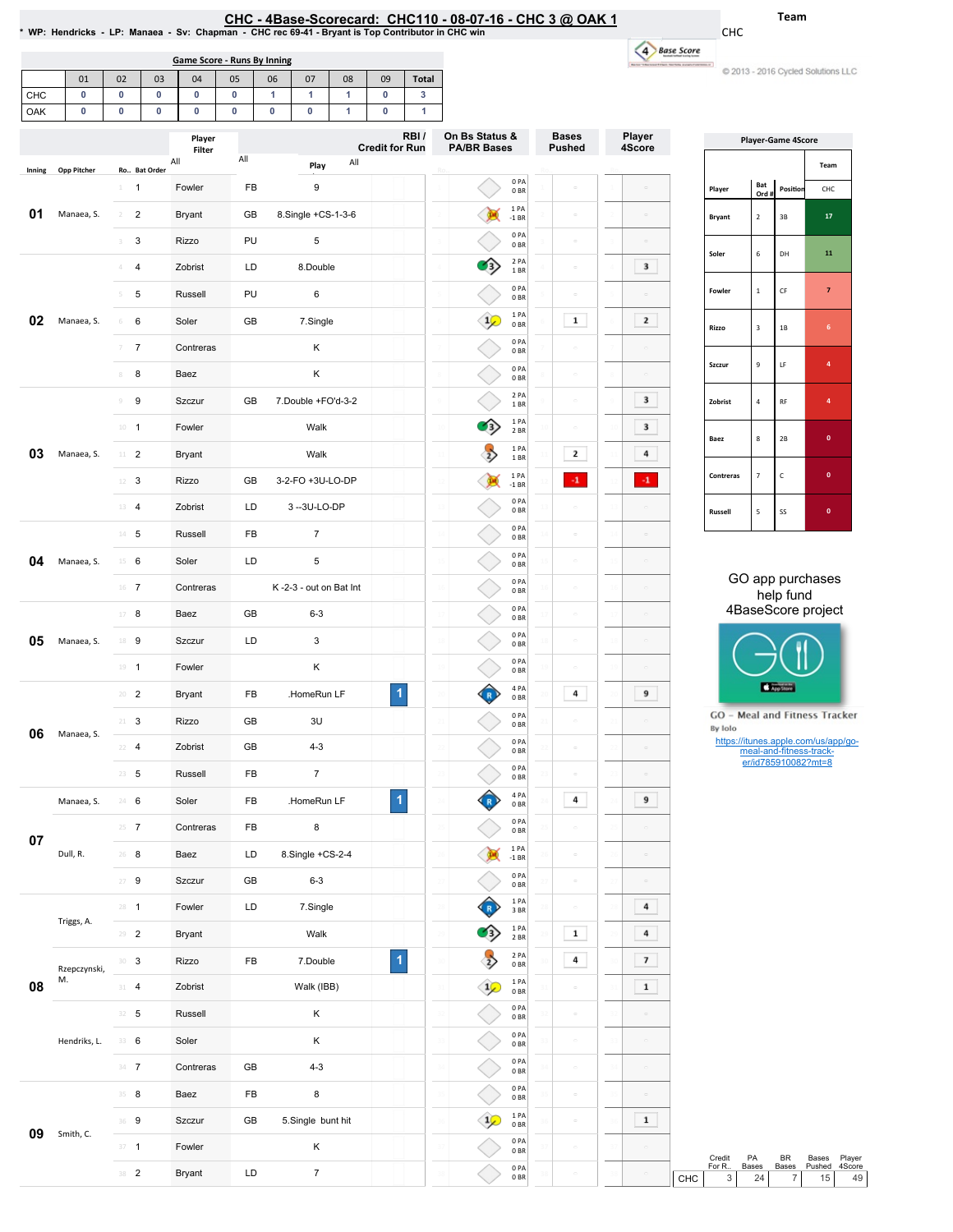EHC - 4Base-Scorecard: CHC110 - 08-07-16 - CHC 3 @ OAK 1> EVP: Manaea - Sv: Chapman - CHC rec 69-41 - Bryant is Top Contributor in CHC win

Team

C 2013 - 2016 Cycled Solutions LLC

CHC

- 1

4 Base Score .<br>Matukio

| Game Score - Runs By Inning |    |    |    |    |    |    |    |    |              |  |  |
|-----------------------------|----|----|----|----|----|----|----|----|--------------|--|--|
| 01                          | 02 | 03 | 04 | 05 | 06 | 07 | 08 | 09 | <b>Total</b> |  |  |
|                             |    |    |    |    |    |    |    |    |              |  |  |
|                             |    |    |    |    |    |    |    |    |              |  |  |
|                             |    |    |    |    |    |    |    |    |              |  |  |

|        |                    |                                     | Player<br>Filter |               |                        | RBI/<br><b>Credit for Run</b> | On Bs Status &<br><b>PA/BR Bases</b> |                                      | <b>Bases</b><br><b>Pushed</b> | Player<br>4Score |                                          |
|--------|--------------------|-------------------------------------|------------------|---------------|------------------------|-------------------------------|--------------------------------------|--------------------------------------|-------------------------------|------------------|------------------------------------------|
| Inning | <b>Opp Pitcher</b> | Ro Bat Order                        | All              | All           | All<br>Play            |                               |                                      |                                      |                               |                  |                                          |
|        |                    | $1 \quad 1$                         | Fowler           | FB            | 9                      |                               |                                      | 0PA<br>0 <sub>BR</sub>               | $\hskip10mm\Box$              | $\equiv$         | Player                                   |
| 01     | Manaea, S.         | $\overline{c}$<br>$\overline{2}$    | Bryant           | GB            | 8.Single +CS-1-3-6     |                               |                                      | 1 PA<br>$-1$ BR                      | $\hfill \square$              |                  | Bryant                                   |
|        |                    | 3<br>3                              | <b>Rizzo</b>     | PU            | 5                      |                               |                                      | 0PA<br>0 <sub>BR</sub>               | $\circ$                       | $\overline{a}$   | Soler                                    |
|        |                    | $\overline{\mathbf{4}}$<br>$\Delta$ | Zobrist          | LD            | 8.Double               |                               | ß                                    | 2 PA<br>1 BR                         | $\hskip10mm\Box$              | 3                |                                          |
|        |                    | $\mathbf 5$<br>5                    | Russell          | PU            | 6                      |                               |                                      | 0PA<br>0 <sub>BR</sub>               | $\equiv$                      |                  | Fowler                                   |
| 02     | Manaea, S.         | 6<br>6                              | Soler            | GB            | 7.Single               |                               | $\frac{1}{2}$                        | 1PA<br>0 <sub>BR</sub>               | $\mathbf 1$                   | $\mathbf{z}$     | Rizzo                                    |
|        |                    | $\overline{7}$<br>$\overline{7}$    | Contreras        |               | Κ                      |                               |                                      | 0PA<br>0BR                           |                               |                  |                                          |
|        |                    | 8<br>$\,$ 8                         | Baez             |               | Κ                      |                               |                                      | 0PA<br>0 <sub>BR</sub>               | $\hskip10mm\Box$              | $\hskip10mm\Box$ | Szczur                                   |
|        |                    | 9<br>9                              | Szczur           | GB            | 7.Double +FO'd-3-2     |                               |                                      | 2 PA<br>1 BR                         | $\hfill \square$              | 3                | Zobrist                                  |
|        |                    | $10 - 1$                            | Fowler           |               | Walk                   |                               | $\ddot{\mathbf{3}}$                  | 1PA<br>2 BR                          | $\equiv$                      | 3                | Baez                                     |
| 03     | Manaea, S.         | $11 - 2$                            | Bryant           |               | Walk                   |                               |                                      | 1PA<br>1 BR                          | $\mathbf{2}$                  | 4                |                                          |
|        |                    | $12 - 3$                            | Rizzo            | GB            | 3-2-FO +3U-LO-DP       |                               |                                      | 1 PA<br>$-1$ BR                      | $\mathbf{-1}$                 | $\cdot 1$        | Contrera:                                |
|        |                    | $13 - 4$                            | Zobrist          | LD            | 3-3U-LO-DP             |                               |                                      | 0PA<br>0 <sub>BR</sub>               |                               |                  | Russell                                  |
|        |                    | $14$ 5                              | Russell          | FB            | $\overline{7}$         |                               |                                      | 0PA<br>0 <sub>BR</sub>               | $\equiv$                      | $\Box$           |                                          |
| 04     | Manaea, S.         | $15 \t 6$                           | Soler            | LD            | 5                      |                               |                                      | 0PA<br>0 <sub>BR</sub>               | $\hskip10mm\Box$              | $\Box$           |                                          |
|        |                    | 16 7                                | Contreras        |               | K-2-3 - out on Bat Int |                               |                                      | 0PA<br>0 <sub>BR</sub>               | $\hfill \square$              | $\Box$           | G                                        |
|        |                    | 17 8                                | Baez             | GB            | $6 - 3$                |                               |                                      | 0PA<br>0 <sub>BR</sub>               | $\hskip10mm\circ$             | $\hskip10mm\Box$ | 4E                                       |
| 05     | Manaea, S.         | 18 9                                | Szczur           | LD            | 3                      |                               |                                      | 0PA<br>0 <sub>BR</sub>               | $\hskip10mm\Box$              | $\Box$           |                                          |
|        |                    | $19 - 1$                            | Fowler           |               | Κ                      |                               |                                      | 0PA<br>0 <sub>BR</sub>               |                               |                  |                                          |
|        |                    | $20 - 2$                            | Bryant           | FB            | .HomeRun LF            | 1                             |                                      | 4 PA<br>0 <sub>BR</sub>              | 4                             | 9                |                                          |
| 06     | Manaea, S.         | $21 - 3$                            | <b>Rizzo</b>     | GB            | 3U                     |                               |                                      | 0PA<br>0BR                           |                               | $\Box$           | $GO -$<br>By Iolo                        |
|        |                    | $22 - 4$                            | Zobrist          | GB            | $4 - 3$                |                               |                                      | 0PA<br>0 <sub>BR</sub>               | $\hskip10mm\Box$              | $\hfill \square$ | https:                                   |
|        |                    | $23 \t5$                            | Russell          | FB            | $\overline{7}$         |                               |                                      | 0PA<br>0B                            | $\equiv$                      | $\sim$           |                                          |
|        | Manaea, S.         | 24 6                                | Soler            | FB            | .HomeRun LF            | 1                             |                                      | 4 PA<br>0 <sub>BR</sub>              | 4                             | 9                |                                          |
| 07     |                    | $25 \t 7$                           | Contreras        | FB            | 8                      |                               |                                      | 0PA<br>0 <sub>RK</sub>               |                               |                  |                                          |
|        | Dull, R.           | $26$ 8                              | Baez             | LD            | 8.Single +CS-2-4       |                               |                                      | 1 PA<br>$-1$ BR                      |                               |                  |                                          |
|        |                    | $27 - 9$                            | Szczur           | GB            | $6 - 3$                |                               |                                      | 0PA<br>0BR                           | $\hskip10mm\Box$              | $\hskip10mm\Box$ |                                          |
|        | Triggs, A.         | $28 - 1$                            | Fowler           | LD            | 7.Single               |                               |                                      | 1PA<br>3 BR                          |                               | 4                |                                          |
|        |                    | $29 - 2$                            | Bryant           |               | Walk                   |                               | $\hat{a}$                            | 1PA<br>2 BR                          | $\mathbf 1$                   | 4                |                                          |
|        | Rzepczynski,       | 30 <sup>3</sup>                     | Rizzo            | FB            | 7.Double               | $\overline{\mathbf{1}}$       | $\overrightarrow{2}$                 | 2 PA<br>0 <sub>BR</sub>              | $\overline{\mathbf{4}}$       | 7                |                                          |
| 08     | M.                 | $31 - 4$                            | Zobrist          |               | Walk (IBB)             |                               |                                      | 1 PA<br>0B                           |                               | $\mathbf 1$      |                                          |
|        |                    | $32 - 5$                            | Russell          |               | Κ                      |                               |                                      | 0PA<br>0 <sub>BR</sub>               | $\hskip10mm\Box$              | $\Box$           |                                          |
|        | Hendriks, L.       | 33 6                                | Soler            |               | Κ                      |                               |                                      | 0PA<br>0B                            | $\hskip10mm\Box$              | $\hfill \square$ |                                          |
|        |                    | $34 - 7$                            | Contreras        | GB            | $4 - 3$                |                               |                                      | 0PA<br>0B                            | $\hskip10mm\Box$              | $\hskip10mm\Box$ |                                          |
|        |                    | 35 8                                | Baez             | FB            | 8                      |                               |                                      | 0PA<br>0B                            |                               | $\hfill \square$ |                                          |
| 09     |                    | 36 9                                | Szczur           | GB            | 5.Single bunt hit      |                               | $\frac{1}{2}$                        | 1PA<br>0 <sub>BR</sub>               | $\alpha$                      | $\mathbf 1$      |                                          |
|        | Smith, C.          | $37 - 1$                            | Fowler           |               | Κ                      |                               |                                      | 0PA<br>0B                            | $\equiv$                      |                  |                                          |
|        |                    | $38$ – $\bm{2}$                     | Bryant           | $\mathsf{LD}$ | $\boldsymbol{7}$       |                               |                                      | 0PA<br>$0\;\ensuremath{\mathsf{BR}}$ | $\equiv$                      |                  | Credit<br>For R<br>3 <sup>1</sup><br>CHC |

|               |                | <b>Player-Game 4Score</b> |                |
|---------------|----------------|---------------------------|----------------|
|               |                |                           | Team           |
| Player        | Bat<br>Ord#    | Position                  | CHC            |
| <b>Bryant</b> | $\overline{2}$ | 3B                        | 17             |
| Soler         | 6              | DH                        | 11             |
| Fowler        | $\overline{1}$ | CF                        | $\overline{7}$ |
| Rizzo         | $\overline{3}$ | 1B                        | 6              |
| Szczur        | 9              | LF                        | 4              |
| Zobrist       | $\overline{4}$ | <b>RF</b>                 | $\overline{a}$ |
| Baez          | 8              | 2B                        | $\mathbf{0}$   |
| Contreras     | $\overline{7}$ | C                         | $\mathbf{o}$   |
| Russell       | 5              | SS                        | $\mathbf{0}$   |

### GO app purchases help fund 3aseScore project



Meal and Fitness Tracker

https://itunes.apple.com/us/app/go-meal-and-fitness-track-er/id785910082?mt=8

|       | Credit<br>For $R_{\odot}$ | PA<br><b>Bases</b> | RR | Bases<br>Bases Pushed 4Score | Plaver |  |
|-------|---------------------------|--------------------|----|------------------------------|--------|--|
| снс I | 3 <sup>1</sup>            | 24                 |    | 15                           |        |  |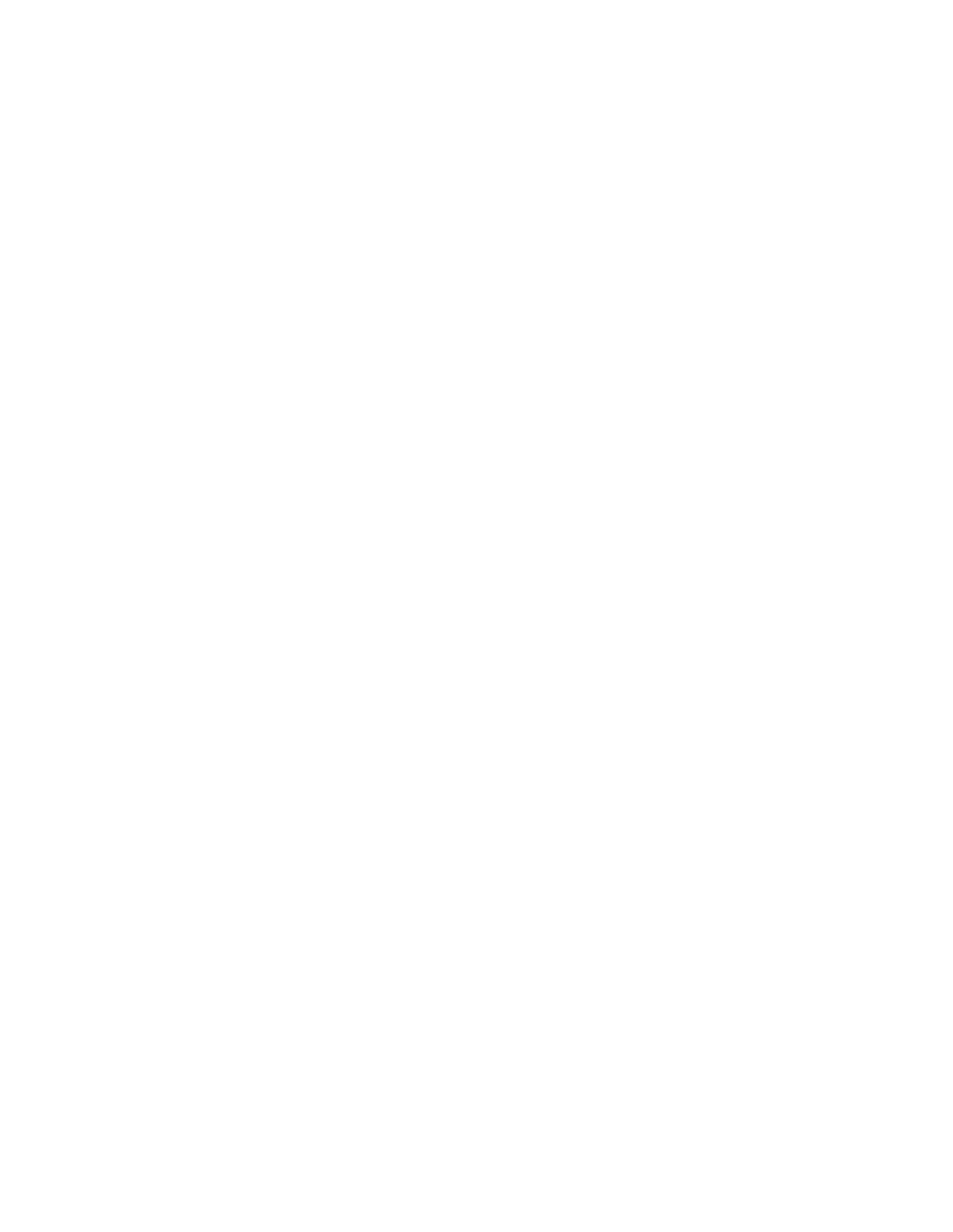|                    |                 |      |                         |              | ' u ^ } Œr Zuv• C/vv]vP |                 |                      |                              |                         |                |                                                                             |                 |         |                                             |                                                |             |                                               |                                |
|--------------------|-----------------|------|-------------------------|--------------|-------------------------|-----------------|----------------------|------------------------------|-------------------------|----------------|-----------------------------------------------------------------------------|-----------------|---------|---------------------------------------------|------------------------------------------------|-------------|-----------------------------------------------|--------------------------------|
|                    | ìí              |      | ìî                      | ÌΪ           | ìð                      | ìñ              | ìò                   | ìó                           | ìô                      | ìõ             | d}šo                                                                        |                 |         |                                             |                                                |             |                                               |                                |
| $8 + 8$<br>$2$ \$. |                 |      |                         |              |                         |                 |                      |                              |                         |                |                                                                             |                 |         |                                             |                                                |             |                                               |                                |
|                    |                 |      |                         |              |                         |                 |                      |                              |                         |                |                                                                             | 2 Q%V 6 VDWXV   | %DVHV   | 3 O NHJ                                     |                                                |             |                                               |                                |
|                    |                 |      |                         |              | Wo Ç Œ<br>&još Œ        |                 | $\pmb{\circledcirc}$ |                              |                         | & UHGLWIRU5 XQ | $5\%$                                                                       | 3\$ %5 %DVHV    | 3 XVKHG | 6FRUH                                       |                                                |             | WoÇOE u ð^}Œ                                  |                                |
| /vv]vP K‰WjšZ0E    |                 |      |                         | Z}XX ŠKOE C  | $\pmb{\circledcirc}$    |                 |                      | WoÇ                          | $\pmb{\circledcirc}$    |                |                                                                             | i W             |         |                                             |                                                |             |                                               | d u                            |
|                    |                 |      |                         |              | ) RZ ONU                |                 | ) %                  |                              |                         |                |                                                                             | i Z             |         |                                             | Wo Ç Œ                                         | š<br>KŒ.    | ۷ÿ•]Ÿ}                                        | $^\circ$                       |
|                    | D v UX          |      | -î                      |              | %UDQW                   |                 | $*$ %                | 6 IQUOH & 6                  |                         |                |                                                                             | í W<br>rí Z     |         |                                             | 0Ç vš                                          | î           | $\ddot{\text{I}}$                             | íó                             |
|                    |                 |      | $\top$                  |              | $5 \text{ H}$ R         |                 | 38                   |                              |                         |                |                                                                             | i W<br>$i$ Z    |         |                                             | $^{\wedge}$ } o Œ                              | ò           |                                               | ii.                            |
|                    |                 |      | ð                       |              | $=$ REUMV               |                 | $\prime$ .           | ' RXE®                       |                         |                |                                                                             | îW<br>$i$ Z     |         |                                             |                                                |             | $\overline{ }$                                |                                |
|                    |                 |      | ñ                       |              | 5 XVMO                  |                 | 38                   |                              |                         |                |                                                                             | i W<br>$i$ Z    |         |                                             | &}ÁoOE                                         | í.          | &                                             | ó                              |
|                    | D v             | UVX. | ò                       |              | 6 ROIU                  |                 | $*$ %                |                              | $61QJ$ $\Theta$         |                |                                                                             | i W<br>$i$ Z    |         |                                             |                                                |             |                                               |                                |
|                    |                 |      | ó                       |              | & ROWHUDV               |                 |                      | $\sim$                       |                         |                |                                                                             | i W             |         |                                             | zjì ì }                                        | ï.          | $\mathbf{r}$                                  |                                |
|                    |                 |      |                         |              |                         |                 |                      |                              |                         |                |                                                                             | i Z<br>i W      |         |                                             | $\lambda$ i <sub>µ</sub> $\Omega$ <sub>E</sub> | õ           | $\mathcal{A}% _{0}=\mathcal{A}_{\mathrm{CL}}$ | $\delta$                       |
|                    |                 |      | ô                       |              | %DH                     |                 |                      | $\cdot$                      |                         |                |                                                                             | $i$ Z<br>îW     |         |                                             |                                                |             |                                               |                                |
|                    |                 |      | õ                       |              | 6] FJ XU                |                 | * $%$                | $'$ RXECH $)$ 2 G            |                         |                |                                                                             | $i$ $z$         |         |                                             | $\bullet$ } Opš                                | ð           | Z&                                            | $\delta$                       |
|                    |                 |      | fi.                     |              | ) RZ ONU                |                 |                      | $:$ DON                      |                         |                |                                                                             | i W<br>$i$ $z$  |         |                                             | Ĵ.                                             | ô           | $\hat{I}$                                     | $\mathbf{I}$                   |
|                    | D v UX          |      | $-11$                   |              | <b>%UDOW</b>            |                 |                      | : DON                        |                         |                |                                                                             | í W<br>$i$ Z    |         |                                             |                                                |             |                                               |                                |
|                    |                 |      | íî                      |              | 54]R                    |                 | * $%$                |                              | $28/2$ 3                |                |                                                                             | íW<br>rí Z      |         |                                             | } všOEOE                                       | ó           |                                               | $\mathbf{1}$                   |
|                    |                 |      | íï                      |              | $=$ REUMV               |                 | $\prime$ .           |                              | $8/2$ $3$               |                |                                                                             | i W<br>i Z      |         |                                             | $Z\mu$ <sup>*</sup> $\omega$                   | ñ           | $\mathsf{w}$                                  | $\mathbf{a}$                   |
|                    |                 |      | íð                      |              | 5 XVVHO                 |                 | ) %                  |                              |                         |                |                                                                             | i W<br>i Z      |         |                                             |                                                |             |                                               |                                |
|                    | D v             | ሁX   | íñ                      |              | 6 ROIU                  |                 | $\prime$ .           |                              |                         |                |                                                                             | i W             |         |                                             |                                                |             |                                               |                                |
|                    |                 |      |                         |              |                         |                 |                      |                              |                         |                |                                                                             | i Z<br>i W      |         |                                             |                                                |             |                                               | * 2 DSS SXUFKDVHV              |
|                    |                 |      | íò                      |              | & ROWHUDV               |                 | $\mathcal{L}$        |                              | RXWRQ%DWQW              |                |                                                                             | $i$ Z<br>i W    |         |                                             |                                                |             | KHOS IXOG                                     | <b>YDVH6 FRUH SURWIFW</b>      |
|                    |                 | íó   |                         | %DH          |                         | $*$ %           |                      |                              |                         |                | $i$ Z                                                                       |                 |         |                                             |                                                |             |                                               |                                |
|                    | D v UX          |      | íô                      |              | 6] FJ XU                |                 | $\prime$ .           |                              |                         |                |                                                                             | i W<br>i Z      |         |                                             |                                                |             |                                               |                                |
|                    |                 |      | íõ                      |              | ) RZ ONU                |                 |                      | $\sim$                       |                         |                |                                                                             | i W<br>i Z      |         |                                             |                                                |             |                                               |                                |
|                    |                 |      | îì                      |              | <b>%UDOW</b>            |                 | ) %                  | $+RP$ H <sub>5</sub> $XQ/$ ) |                         |                |                                                                             | ðW<br>$i$ Z     |         |                                             |                                                |             |                                               |                                |
|                    |                 |      | îí                      |              | $5 \,\sharp$ ] $R$      |                 | $*$ %                | 8                            |                         |                |                                                                             | i W<br>i Z      |         |                                             |                                                |             |                                               |                                |
|                    | D v UX          |      |                         |              | $=$ REUMV               |                 | $*$ %                |                              |                         |                |                                                                             | i W<br>ìZ       |         |                                             |                                                |             | PHDCDCG ILMOHAV WIDEN                         | KWOSV LWACH VDSSOH FRP XVDSSJR |
|                    |                 |      | îï                      |              | 5 XVVHO                 |                 | ) %                  |                              |                         |                |                                                                             | ìW<br>i Z       |         |                                             |                                                | <b>HUIG</b> |                                               | <u>"PW</u>                     |
|                    | Dv UX i         |      |                         |              | 6 ROHU                  |                 | ) %                  | $+RP$ H <sub>5</sub> $XQ/$ ) |                         |                |                                                                             | ðW              |         |                                             |                                                |             |                                               |                                |
|                    |                 |      |                         |              |                         |                 |                      |                              |                         |                |                                                                             | $i$ Z<br>ìW     |         |                                             |                                                |             |                                               |                                |
|                    |                 |      | îñ                      |              | & ROWHUDV               |                 | ) %                  |                              |                         |                |                                                                             | i Z<br>í W      |         |                                             |                                                |             |                                               |                                |
|                    | $\mu$ ot $\chi$ |      | îò                      |              | %DHJ                    |                 | $\prime$ .           | 6 Q O 0 4 6                  |                         |                |                                                                             | rí Z            |         |                                             |                                                |             |                                               |                                |
|                    |                 |      | îó                      |              | 6] FJ XU                |                 | $*$ %                |                              |                         |                |                                                                             | i W<br>i Z      |         |                                             |                                                |             |                                               |                                |
|                    | dQEP U X        |      | îô                      |              | ) RZ ONU                |                 | $\mathcal{F}^{\ast}$ | $61QJ$ $\Theta$              |                         |                |                                                                             | í W<br>$i$ Z    |         |                                             |                                                |             |                                               |                                |
|                    |                 |      | ÎÕ                      |              | <b>%UDOW</b>            |                 |                      | $:$ DON                      |                         |                |                                                                             | i W<br>î Z      |         |                                             |                                                |             |                                               |                                |
|                    | ZÌ ‰Ì Cૂ/∙I ]U  |      | $\mathbb{H}_\mathbb{R}$ |              | 5 L ] R                 |                 | ) %                  | ' RXE®                       |                         |                |                                                                             | îW<br>i Z       |         |                                             |                                                |             |                                               |                                |
|                    | DX              |      | ΪĹ                      |              | $=$ REUMV               |                 |                      | $:$ DON $,$ %%               |                         |                |                                                                             | i W<br>$i$ $z$  |         |                                             |                                                |             |                                               |                                |
|                    |                 |      | ΪÎ                      |              | 5 XVMO                  |                 |                      |                              |                         |                |                                                                             | i W             |         |                                             |                                                |             |                                               |                                |
|                    |                 |      |                         |              |                         |                 |                      | $\sim$                       |                         |                |                                                                             | $i \, z$<br>i W |         |                                             |                                                |             |                                               |                                |
|                    | , v O)E∙U⊳X ⊺⊺  |      |                         |              | 6 ROHU                  |                 |                      | $\sim$                       |                         |                |                                                                             | ìZ<br>i W       |         |                                             |                                                |             |                                               |                                |
|                    |                 |      | ïð                      |              | & ROWHUDV               |                 | $*$ %                |                              |                         |                |                                                                             | $i$ $z$         |         |                                             |                                                |             |                                               |                                |
|                    |                 |      | ïñ                      |              | %DHJ                    |                 | ) %                  |                              |                         |                |                                                                             | i W<br>i Z      |         |                                             |                                                |             |                                               |                                |
|                    |                 |      | ïò                      |              | 6] FJ XU                |                 | $*$ %                |                              | <b>6 IQJOH EXQVKIIV</b> |                |                                                                             | i W<br>$i$ Z    |         |                                             |                                                |             |                                               |                                |
|                    | ^u ]šZU X       |      | ΪÓ                      |              | ) RZ ONU                |                 |                      | $\epsilon$                   |                         |                |                                                                             | i W<br>$i \, z$ |         |                                             |                                                |             |                                               |                                |
|                    |                 | ïô   |                         | <b>%UDQW</b> |                         | $\mathcal{F}^*$ |                      |                              |                         |                | $\begin{array}{c} \text{i} \ \text{W} \\ \text{i} \ \ \text{Z} \end{array}$ |                 |         | &UHGLW 3\$<br>RU5 %DMHV<br>) RU5<br>$8 + 8$ |                                                | %5<br>%DVHV | %DMHV 300AH<br>3XWHG 6FRU                     |                                |

8+8 %DVH6FRU+FDUG & +8<br>3+ HOGUFN /30DODHD 6Y&KDSPDQ & +& U+F %UDQWV7RS&RQMUEXMRULQ& +& ZLQ

d u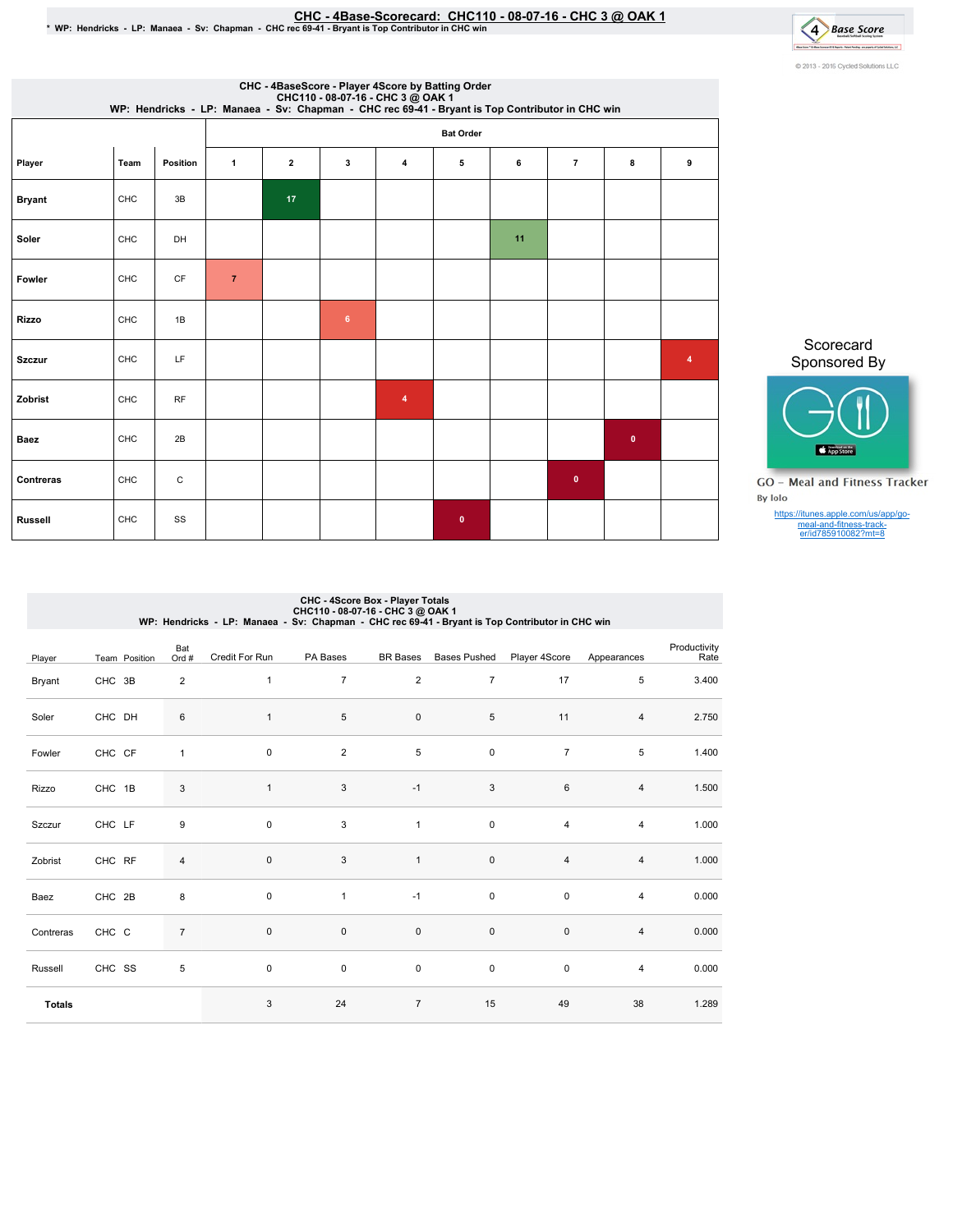### CHC-4Base-Scorecard:CHC110-08-07-16-CHC3@ OAK1 \*WP:Hendricks-LP:Manaea-Sv:Chapman-CHCrec69-41-BryantisTopContributorinCHCwin



|                | CHC - 4BaseScore - Player 4Score by Batting Order<br>CHC110 - 08-07-16 - CHC 3 @ OAK 1<br>WP: Hendricks - LP: Manaea - Sv: Chapman - CHC rec 69-41 - Bryant is Top Contributor in CHC win |                        |                |                |   |                |                  |    |                |           |   |
|----------------|-------------------------------------------------------------------------------------------------------------------------------------------------------------------------------------------|------------------------|----------------|----------------|---|----------------|------------------|----|----------------|-----------|---|
|                |                                                                                                                                                                                           |                        |                |                |   |                | <b>Bat Order</b> |    |                |           |   |
| Player         | Team                                                                                                                                                                                      | Position               | $\mathbf{1}$   | $\overline{2}$ | 3 | $\overline{4}$ | 5                | 6  | $\overline{7}$ | 8         | 9 |
| <b>Bryant</b>  | CHC                                                                                                                                                                                       | 3B                     |                | 17             |   |                |                  |    |                |           |   |
| Soler          | CHC                                                                                                                                                                                       | DH                     |                |                |   |                |                  | 11 |                |           |   |
| Fowler         | CHC                                                                                                                                                                                       | $\mathsf{C}\mathsf{F}$ | $\overline{7}$ |                |   |                |                  |    |                |           |   |
| <b>Rizzo</b>   | CHC                                                                                                                                                                                       | 1B                     |                |                | 6 |                |                  |    |                |           |   |
| <b>Szczur</b>  | <b>CHC</b>                                                                                                                                                                                | LF                     |                |                |   |                |                  |    |                |           | 4 |
| Zobrist        | <b>CHC</b>                                                                                                                                                                                | <b>RF</b>              |                |                |   | $\overline{4}$ |                  |    |                |           |   |
| Baez           | CHC                                                                                                                                                                                       | 2B                     |                |                |   |                |                  |    |                | $\pmb{0}$ |   |
| Contreras      | CHC                                                                                                                                                                                       | $\mathsf C$            |                |                |   |                |                  |    | $\bullet$      |           |   |
| <b>Russell</b> | CHC                                                                                                                                                                                       | SS                     |                |                |   |                | $\bullet$        |    |                |           |   |

Scorecard Sponsored By



**GO** - Meal and Fitness Tracker By Iolo

https://itunes.apple.com/us/app/go-meal-and-fitness-track-er/id785910082?mt=8

## CHC - 4Score Box - Player Totals<br>CHC110 - 08-07-16 - CHC110<br>WP: Hendricks - LP: Manaea - Sv: Chapman - CHC rec 69-41 - Bryant is Top Contributor in CHC win

| Player        |        | Team Position | Bat<br>Ord #     | Credit For Run | PA Bases       | <b>BR</b> Bases | <b>Bases Pushed</b> | Player 4Score  | Appearances    | Productivity<br>Rate |
|---------------|--------|---------------|------------------|----------------|----------------|-----------------|---------------------|----------------|----------------|----------------------|
| Bryant        | CHC 3B |               | $\overline{2}$   | $\mathbf{1}$   | $\overline{7}$ | $\overline{2}$  | $\overline{7}$      | 17             | 5              | 3.400                |
| Soler         | CHC DH |               | $\,6$            | $\mathbf{1}$   | $\,$ 5 $\,$    | $\mathsf 0$     | 5                   | 11             | $\sqrt{4}$     | 2.750                |
| Fowler        | CHC CF |               | $\mathbf{1}$     | $\mathsf 0$    | $\overline{2}$ | 5               | $\pmb{0}$           | $\overline{7}$ | 5              | 1.400                |
| Rizzo         | CHC 1B |               | 3                | $\mathbf{1}$   | 3              | $-1$            | 3                   | 6              | $\overline{4}$ | 1.500                |
| Szczur        | CHC LF |               | $\boldsymbol{9}$ | 0              | 3              | $\mathbf{1}$    | 0                   | $\overline{4}$ | $\overline{4}$ | 1.000                |
| Zobrist       | CHC RF |               | $\overline{4}$   | $\mathbf 0$    | 3              | $\mathbf{1}$    | $\pmb{0}$           | $\sqrt{4}$     | $\sqrt{4}$     | 1.000                |
| Baez          | CHC 2B |               | 8                | $\mathbf 0$    | $\mathbf{1}$   | $-1$            | 0                   | $\mathsf 0$    | $\overline{4}$ | 0.000                |
| Contreras     | CHC C  |               | $\overline{7}$   | $\mathbf 0$    | $\pmb{0}$      | $\mathsf 0$     | $\pmb{0}$           | $\mathsf 0$    | $\overline{4}$ | 0.000                |
| Russell       | CHC SS |               | 5                | 0              | $\pmb{0}$      | $\pmb{0}$       | 0                   | $\pmb{0}$      | $\overline{4}$ | 0.000                |
| <b>Totals</b> |        |               |                  | 3              | 24             | $\overline{7}$  | 15                  | 49             | 38             | 1.289                |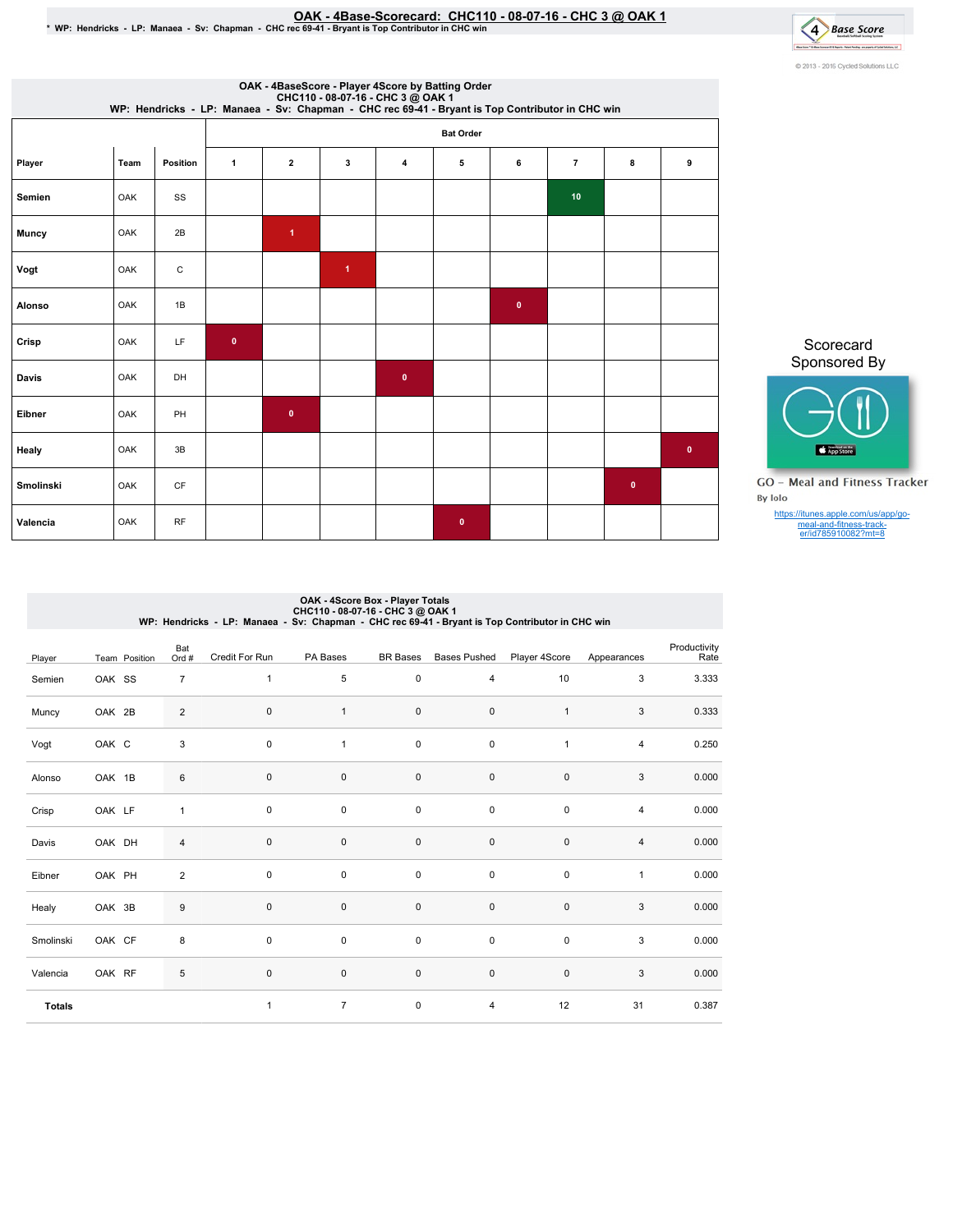## OAK - 4Base-Scorecard: CHC110 - 08-07-16 - CHC 3 @ ОАК 1 ـ 98-07-16 - CHC 3 ي OAK 1<br>• WP: Hendricks - LP: Manaea - Sv: Chapman - CHC rec 69-41 - Bryant is Top Contributor in CHC win



|           | OAK - 4BaseScore - Player 4Score by Batting Order<br>CHC110 - 08-07-16 - CHC 3 @ OAK 1<br>WP: Hendricks - LP: Manaea - Sv: Chapman - CHC rec 69-41 - Bryant is Top Contributor in CHC win |           |           |                      |                      |           |                  |           |                |           |           |
|-----------|-------------------------------------------------------------------------------------------------------------------------------------------------------------------------------------------|-----------|-----------|----------------------|----------------------|-----------|------------------|-----------|----------------|-----------|-----------|
|           |                                                                                                                                                                                           |           |           |                      |                      |           | <b>Bat Order</b> |           |                |           |           |
| Player    | Team                                                                                                                                                                                      | Position  | 1         | $\mathbf{2}$         | 3                    | 4         | 5                | 6         | $\overline{7}$ | 8         | 9         |
| Semien    | OAK                                                                                                                                                                                       | SS        |           |                      |                      |           |                  |           | 10             |           |           |
| Muncy     | OAK                                                                                                                                                                                       | 2B        |           | $\blacktriangleleft$ |                      |           |                  |           |                |           |           |
| Vogt      | OAK                                                                                                                                                                                       | C         |           |                      | $\blacktriangleleft$ |           |                  |           |                |           |           |
| Alonso    | OAK                                                                                                                                                                                       | 1B        |           |                      |                      |           |                  | $\pmb{0}$ |                |           |           |
| Crisp     | OAK                                                                                                                                                                                       | LF        | $\pmb{0}$ |                      |                      |           |                  |           |                |           |           |
| Davis     | OAK                                                                                                                                                                                       | DH        |           |                      |                      | $\pmb{0}$ |                  |           |                |           |           |
| Eibner    | OAK                                                                                                                                                                                       | PH        |           | $\pmb{0}$            |                      |           |                  |           |                |           |           |
| Healy     | OAK                                                                                                                                                                                       | 3B        |           |                      |                      |           |                  |           |                |           | $\bullet$ |
| Smolinski | OAK                                                                                                                                                                                       | CF        |           |                      |                      |           |                  |           |                | $\pmb{0}$ |           |
| Valencia  | OAK                                                                                                                                                                                       | <b>RF</b> |           |                      |                      |           | $\mathbf{0}$     |           |                |           |           |

Scorecard Sponsored By



**GO** - Meal and Fitness Tracker By Iolo

https://itunes.apple.com/us/app/go-meal-and-fitness-track-er/id785910082?mt=8

# OAK - 4Score Box - Player Totals<br>CHC110 - 08-07-16 - CHC10<br>WP: Hendricks - LP: Manaea - Sv: Chapman - CHC rec 69-41 - Bryant is Top Contributor in CHC win

| Player        | Team Position | Bat<br>Ord #     | Credit For Run      | PA Bases       | BR Bases    | <b>Bases Pushed</b> | Player 4Score | Appearances               | Productivity<br>Rate |
|---------------|---------------|------------------|---------------------|----------------|-------------|---------------------|---------------|---------------------------|----------------------|
| Semien        | OAK SS        | $\overline{7}$   | $\mathbf{1}$        | 5              | 0           | $\overline{4}$      | 10            | 3                         | 3.333                |
| Muncy         | OAK 2B        | $\sqrt{2}$       | 0                   | $\mathbf{1}$   | 0           | $\pmb{0}$           | $\mathbf{1}$  | 3                         | 0.333                |
| Vogt          | OAK C         | 3                | $\mathbf 0$         | $\mathbf{1}$   | $\pmb{0}$   | 0                   | $\mathbf{1}$  | $\overline{4}$            | 0.250                |
| Alonso        | OAK 1B        | 6                | $\mathbf 0$         | $\pmb{0}$      | $\pmb{0}$   | $\pmb{0}$           | $\pmb{0}$     | 3                         | 0.000                |
| Crisp         | OAK LF        | $\mathbf{1}$     | $\mathbf 0$         | $\pmb{0}$      | $\pmb{0}$   | $\pmb{0}$           | $\pmb{0}$     | $\overline{4}$            | 0.000                |
| Davis         | OAK DH        | $\overline{4}$   | $\mathsf{O}\xspace$ | $\pmb{0}$      | $\mathsf 0$ | $\pmb{0}$           | $\mathsf 0$   | $\overline{4}$            | 0.000                |
| Eibner        | OAK PH        | $\sqrt{2}$       | $\mathbf 0$         | $\pmb{0}$      | $\pmb{0}$   | $\pmb{0}$           | $\pmb{0}$     | $\mathbf{1}$              | 0.000                |
| Healy         | OAK 3B        | $\boldsymbol{9}$ | $\mathsf 0$         | $\pmb{0}$      | $\pmb{0}$   | $\pmb{0}$           | $\pmb{0}$     | $\sqrt{3}$                | 0.000                |
| Smolinski     | OAK CF        | 8                | $\mathbf 0$         | $\pmb{0}$      | $\pmb{0}$   | 0                   | $\pmb{0}$     | 3                         | 0.000                |
| Valencia      | OAK RF        | $\sqrt{5}$       | $\mathsf{O}\xspace$ | $\pmb{0}$      | $\mathsf 0$ | 0                   | $\mathsf 0$   | $\ensuremath{\mathsf{3}}$ | 0.000                |
| <b>Totals</b> |               |                  | $\mathbf{1}$        | $\overline{7}$ | $\pmb{0}$   | 4                   | 12            | 31                        | 0.387                |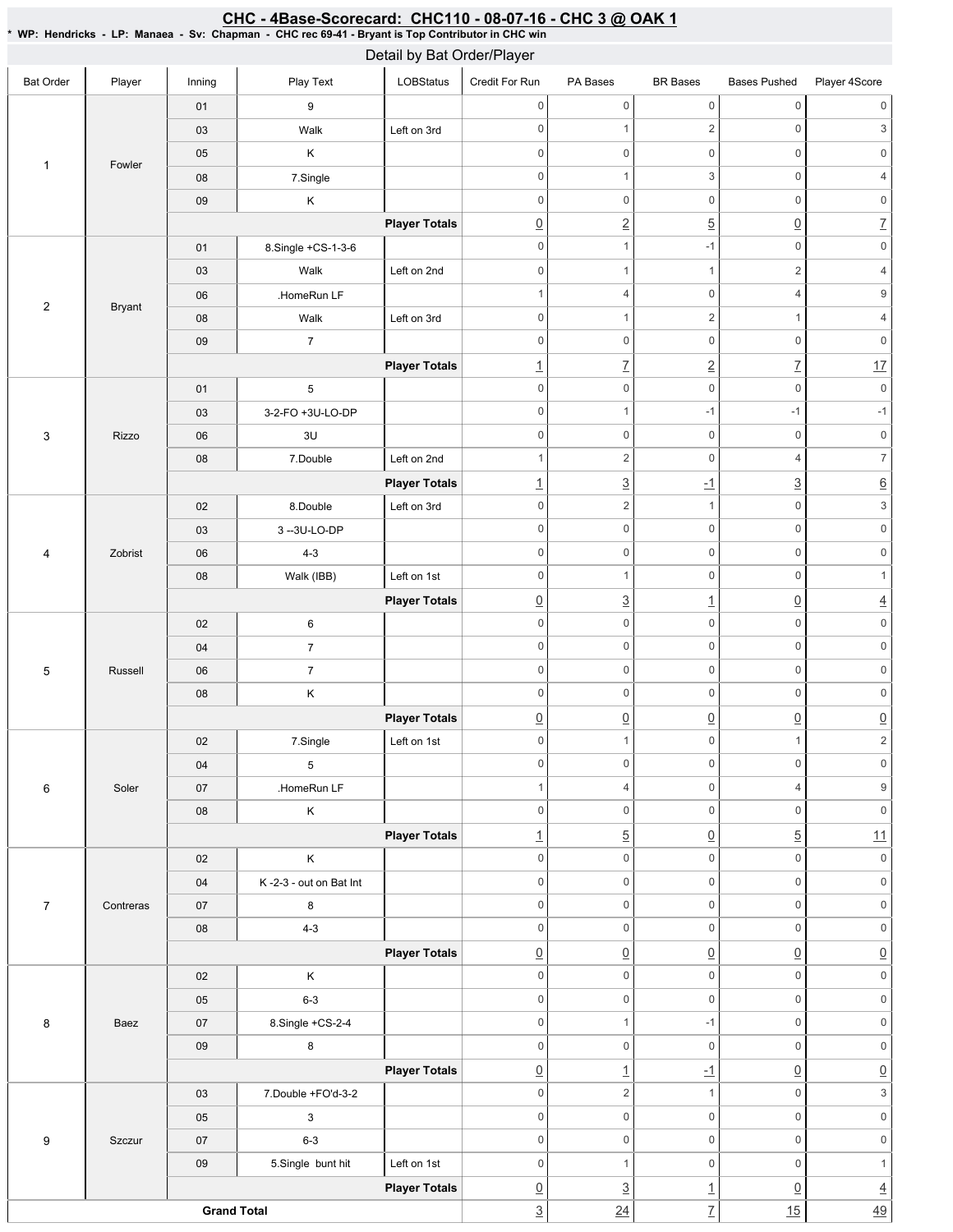| Detail by Bat Order/Player             |               |                    |                        |                      |                          |                     |                         |                           |                           |  |  |
|----------------------------------------|---------------|--------------------|------------------------|----------------------|--------------------------|---------------------|-------------------------|---------------------------|---------------------------|--|--|
| <b>Bat Order</b>                       | Player        | Inning             | Play Text              | LOBStatus            | Credit For Run           | PA Bases            | <b>BR</b> Bases         | <b>Bases Pushed</b>       | Player 4Score             |  |  |
|                                        |               | 01                 | 9                      |                      | $\mathsf{O}\xspace$      | $\mathsf{O}\xspace$ | $\mathsf{O}\xspace$     | $\mathsf{O}\xspace$       | $\boldsymbol{0}$          |  |  |
|                                        |               | 03                 | Walk                   | Left on 3rd          | $\mathbf 0$              | $\mathbf{1}$        | $\overline{\mathbf{c}}$ | $\mathbf 0$               | $\mathsf 3$               |  |  |
|                                        | Fowler        | 05                 | $\sf K$                |                      | $\mathbf 0$              | $\mathsf{O}\xspace$ | $\mathsf 0$             | $\mathsf{O}\xspace$       | $\mathsf{O}\xspace$       |  |  |
| $\mathbf{1}$                           |               | 08                 | 7.Single               |                      | $\mathbf 0$              | $\mathbf{1}$        | 3                       | $\mathsf{O}\xspace$       | $\overline{4}$            |  |  |
|                                        |               | 09                 | $\sf K$                |                      | $\mathbf 0$              | $\mathsf{O}\xspace$ | $\mathsf 0$             | $\mathbf 0$               | $\mathsf{O}\xspace$       |  |  |
|                                        |               |                    |                        | <b>Player Totals</b> | $\underline{0}$          | $\underline{2}$     | $\overline{5}$          | $\underline{0}$           | $\overline{1}$            |  |  |
|                                        |               | 01                 | 8.Single +CS-1-3-6     |                      | $\,0\,$                  | $\mathbf{1}$        | $-1$                    | $\mathsf{O}\xspace$       | $\mathsf{O}\xspace$       |  |  |
|                                        |               | 03                 | Walk                   | Left on 2nd          | $\mathbf 0$              | $\mathbf{1}$        | $\mathbf{1}$            | $\overline{c}$            | $\overline{4}$            |  |  |
| $\overline{\mathbf{c}}$                | <b>Bryant</b> | $06\,$             | .HomeRun LF            |                      | $\mathbf{1}$             | $\overline{4}$      | $\mathsf 0$             | $\overline{4}$            | $\boldsymbol{9}$          |  |  |
|                                        |               | $08\,$             | Walk                   | Left on 3rd          | $\mathbf 0$              | $\mathbf{1}$        | $\overline{c}$          | $\mathbf{1}$              | $\overline{4}$            |  |  |
|                                        |               | 09                 | $\boldsymbol{7}$       |                      | $\mathbf 0$              | $\mathsf{O}\xspace$ | $\mathsf 0$             | $\mathsf{0}$              | $\mathsf{O}\xspace$       |  |  |
|                                        |               |                    |                        | <b>Player Totals</b> | $\overline{1}$           | $\overline{1}$      | $\underline{2}$         | $\underline{\mathcal{I}}$ | 17                        |  |  |
|                                        |               | $01$               | $\,$ 5 $\,$            |                      | $\,0\,$                  | $\mathsf{O}\xspace$ | $\mathbf 0$             | $\mathbb O$               | $\mathsf{O}\xspace$       |  |  |
|                                        |               | 03                 | 3-2-FO +3U-LO-DP       |                      | $\mathbf 0$              | $\mathbf{1}$        | $-1$                    | $-1$                      | $-1$                      |  |  |
| 3                                      | Rizzo         | 06                 | $3\mathsf{U}$          |                      | $\mathbf 0$              | $\mathsf{O}\xspace$ | $\mathsf 0$             | $\mathsf{0}$              | $\mathsf{0}$              |  |  |
|                                        |               | 08                 | 7.Double               | Left on 2nd          | $\mathbf{1}$             | $\overline{c}$      | $\mathsf{O}\xspace$     | $\overline{4}$            | $\boldsymbol{7}$          |  |  |
|                                        |               |                    |                        | <b>Player Totals</b> | $\overline{1}$           | $\underline{3}$     | $\overline{-1}$         | $\underline{3}$           | $\underline{6}$           |  |  |
|                                        |               | $02\,$             | 8.Double               | Left on 3rd          | $\mathsf{O}\xspace$      | $\overline{c}$      | $\mathbf{1}$            | $\mathsf{O}\xspace$       | $\overline{3}$            |  |  |
|                                        |               | 03                 | 3-3U-LO-DP             |                      | $\mathbf 0$              | $\mathsf{O}\xspace$ | $\mathsf{O}\xspace$     | $\mathsf{O}\xspace$       | $\mathsf{O}\xspace$       |  |  |
| $\overline{\mathbf{4}}$<br>$\,$ 5 $\,$ | Zobrist       | 06                 | $4 - 3$                |                      | $\mathsf{O}\xspace$      | $\mathsf{O}\xspace$ | $\mathsf 0$             | $\mathsf{O}\xspace$       | $\mathsf{O}\xspace$       |  |  |
|                                        |               | ${\bf 08}$         | Walk (IBB)             | Left on 1st          | $\mathbf 0$              | $\mathbf{1}$        | $\mathsf 0$             | $\mathsf{O}\xspace$       | $\mathbf{1}$              |  |  |
|                                        |               |                    |                        | <b>Player Totals</b> | $\underline{0}$          | $\underline{3}$     | $\overline{1}$          | $\underline{0}$           | $\underline{4}$           |  |  |
|                                        |               | $02\,$             | $\,6\,$                |                      | $\mathbf 0$              | $\mathsf{O}\xspace$ | $\mathsf 0$             | $\mathsf{O}\xspace$       | $\mathsf{O}\xspace$       |  |  |
|                                        |               | 04                 | $\boldsymbol{7}$       |                      | $\mathsf{O}\xspace$      | $\mathsf{O}\xspace$ | $\pmb{0}$               | $\mathsf{O}\xspace$       | $\mathsf{O}\xspace$       |  |  |
|                                        | Russell       | 06                 | $\boldsymbol{7}$       |                      | $\mathbf 0$              | $\mathsf{O}\xspace$ | $\mathsf 0$             | $\mathsf{O}\xspace$       | $\mathsf{O}\xspace$       |  |  |
|                                        |               | 08                 | $\sf K$                |                      | $\mathbf 0$              | $\mathsf{O}\xspace$ | $\pmb{0}$               | $\mathsf 0$               | $\mathsf{O}\xspace$       |  |  |
|                                        |               |                    |                        | <b>Player Totals</b> | $\underline{0}$          | $\underline{0}$     | $\underline{0}$         | $\underline{0}$           | $\underline{0}$           |  |  |
|                                        |               | 02                 | 7.Single               | Left on 1st          | $\overline{0}$           | 1                   | 0                       | 1                         | 2                         |  |  |
|                                        |               | 04                 | $\,$ 5 $\,$            |                      | $\mathbf 0$              | $\mathsf{O}\xspace$ | $\mathsf 0$             | $\mathsf{O}$              | $\mathsf{O}\xspace$       |  |  |
| 6                                      | Soler         | 07                 | .HomeRun LF            |                      | $\mathbf{1}$             | $\overline{4}$      | $\mathsf 0$             | $\overline{4}$            | 9                         |  |  |
|                                        |               | ${\bf 08}$         | Κ                      |                      | $\mathbf 0$              | $\mathsf{O}\xspace$ | $\mathsf{O}\xspace$     | $\mathsf{O}$              | $\mathsf{O}\xspace$       |  |  |
|                                        |               |                    |                        | <b>Player Totals</b> | $\underline{\mathbf{1}}$ | $\overline{5}$      | $\underline{0}$         | $\overline{5}$            | 11                        |  |  |
|                                        |               | 02                 | $\sf K$                |                      | $\mathsf 0$              | $\mathsf{O}\xspace$ | $\mathsf 0$             | $\mathsf{O}\xspace$       | $\mathsf{O}\xspace$       |  |  |
|                                        |               | 04                 | K-2-3 - out on Bat Int |                      | $\mathbf 0$              | $\mathsf{O}\xspace$ | $\mathsf 0$             | $\mathsf{O}\xspace$       | $\mathsf{O}\xspace$       |  |  |
| $\overline{7}$                         | Contreras     | 07                 | 8                      |                      | $\mathbf 0$              | $\mathsf{O}\xspace$ | $\mathsf 0$             | $\mathbf 0$               | $\mathsf{O}\xspace$       |  |  |
|                                        |               | 08                 | $4 - 3$                |                      | $\mathbf 0$              | $\mathsf{O}\xspace$ | $\mathbf 0$             | $\mathsf{O}\xspace$       | $\mathsf{O}\xspace$       |  |  |
|                                        |               |                    |                        | <b>Player Totals</b> | $\underline{0}$          | $\underline{0}$     | $\overline{0}$          | $\underline{0}$           | $\underline{0}$           |  |  |
|                                        |               | 02                 | Κ                      |                      | $\mathbf 0$              | $\mathbf 0$         | $\mathsf 0$             | $\mathbf 0$               | $\mathsf{O}\xspace$       |  |  |
|                                        |               | 05                 | $6 - 3$                |                      | $\mathbf 0$              | $\mathsf{O}\xspace$ | $\mathbf 0$             | $\mathsf{O}$              | $\mathsf{O}\xspace$       |  |  |
| 8                                      | Baez          | $07\,$             | 8.Single +CS-2-4       |                      | $\mathsf 0$              | $\mathbf{1}$        | $-1$                    | $\mathsf 0$               | $\mathsf{O}\xspace$       |  |  |
|                                        |               | 09                 | 8                      |                      | $\mathsf 0$              | $\mathsf{O}\xspace$ | $\mathbf 0$             | $\mathsf{O}\xspace$       | $\mathsf{O}\xspace$       |  |  |
|                                        |               |                    |                        | <b>Player Totals</b> | $\underline{0}$          | $\overline{1}$      | $\overline{-1}$         | $\underline{0}$           | $\underline{0}$           |  |  |
|                                        |               | 03                 | 7.Double +FO'd-3-2     |                      | $\mathsf{O}\xspace$      | $\overline{c}$      | $\mathbf{1}$            | $\mathsf{O}\xspace$       | $\ensuremath{\mathsf{3}}$ |  |  |
|                                        |               | 05                 | $\mathsf 3$            |                      | $\mathbf 0$              | $\mathsf{O}\xspace$ | $\mathbf 0$             | $\mathsf{O}\xspace$       | $\mathsf{O}\xspace$       |  |  |
| 9                                      | Szczur        | $07\,$             | $6 - 3$                |                      | $\mathsf{O}\xspace$      | $\mathsf{O}\xspace$ | $\mathsf{O}\xspace$     | $\mathsf{O}\xspace$       | $\mathsf{O}\xspace$       |  |  |
|                                        |               | $09\,$             | 5.Single bunt hit      | Left on 1st          | $\mathbf 0$              | $\mathbf{1}$        | $\mathbf 0$             | $\mathsf{O}\xspace$       | $\mathbf{1}$              |  |  |
|                                        |               |                    |                        | <b>Player Totals</b> | $\underline{0}$          | $\underline{3}$     | $\overline{1}$          | $\underline{0}$           | $\overline{4}$            |  |  |
|                                        |               | <b>Grand Total</b> |                        |                      | $\underline{3}$          | 24                  | $\overline{1}$          | 15                        | 49                        |  |  |

### <u>CHC - 4Base-Scorecard: CHC110 - 08-07-16 - CHC 3 @ OAK 1</u>

\* WP: Hendricks-LP: Manaea- Sv: Chapman- CHC rec 69-41 - Bryant is Top Contributor in CHC win